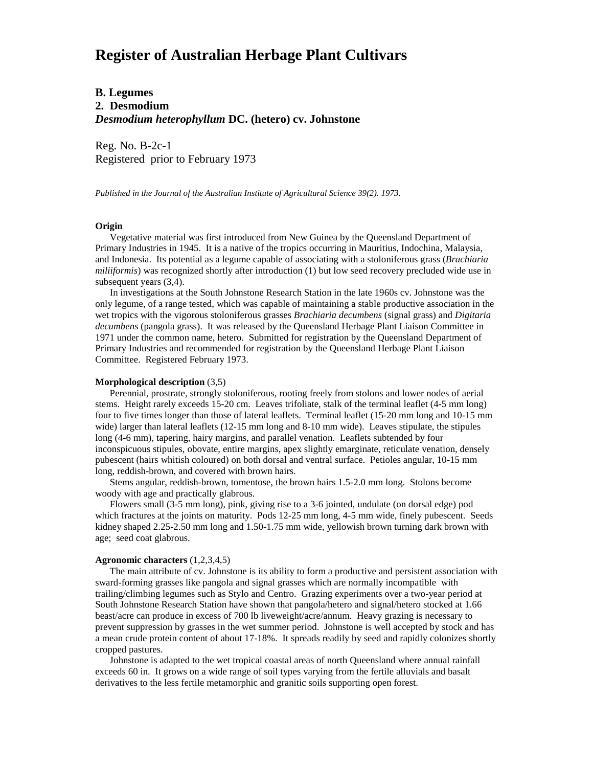# **Register of Australian Herbage Plant Cultivars**

# **B. Legumes 2. Desmodium** *Desmodium heterophyllum* **DC. (hetero) cv. Johnstone**

Reg. No. B-2c-1 Registered prior to February 1973

*Published in the Journal of the Australian Institute of Agricultural Science 39(2). 1973.*

#### **Origin**

 Vegetative material was first introduced from New Guinea by the Queensland Department of Primary Industries in 1945. It is a native of the tropics occurring in Mauritius, Indochina, Malaysia, and Indonesia. Its potential as a legume capable of associating with a stoloniferous grass (*Brachiaria miliiformis*) was recognized shortly after introduction (1) but low seed recovery precluded wide use in subsequent years (3,4).

 In investigations at the South Johnstone Research Station in the late 1960s cv. Johnstone was the only legume, of a range tested, which was capable of maintaining a stable productive association in the wet tropics with the vigorous stoloniferous grasses *Brachiaria decumbens* (signal grass) and *Digitaria decumbens* (pangola grass). It was released by the Queensland Herbage Plant Liaison Committee in 1971 under the common name, hetero. Submitted for registration by the Queensland Department of Primary Industries and recommended for registration by the Queensland Herbage Plant Liaison Committee. Registered February 1973.

### **Morphological description** (3,5)

 Perennial, prostrate, strongly stoloniferous, rooting freely from stolons and lower nodes of aerial stems. Height rarely exceeds 15-20 cm. Leaves trifoliate, stalk of the terminal leaflet (4-5 mm long) four to five times longer than those of lateral leaflets. Terminal leaflet (15-20 mm long and 10-15 mm wide) larger than lateral leaflets (12-15 mm long and 8-10 mm wide). Leaves stipulate, the stipules long (4-6 mm), tapering, hairy margins, and parallel venation. Leaflets subtended by four inconspicuous stipules, obovate, entire margins, apex slightly emarginate, reticulate venation, densely pubescent (hairs whitish coloured) on both dorsal and ventral surface. Petioles angular, 10-15 mm long, reddish-brown, and covered with brown hairs.

 Stems angular, reddish-brown, tomentose, the brown hairs 1.5-2.0 mm long. Stolons become woody with age and practically glabrous.

 Flowers small (3-5 mm long), pink, giving rise to a 3-6 jointed, undulate (on dorsal edge) pod which fractures at the joints on maturity. Pods 12-25 mm long, 4-5 mm wide, finely pubescent. Seeds kidney shaped 2.25-2.50 mm long and 1.50-1.75 mm wide, yellowish brown turning dark brown with age; seed coat glabrous.

#### **Agronomic characters** (1,2,3,4,5)

 The main attribute of cv. Johnstone is its ability to form a productive and persistent association with sward-forming grasses like pangola and signal grasses which are normally incompatible with trailing/climbing legumes such as Stylo and Centro. Grazing experiments over a two-year period at South Johnstone Research Station have shown that pangola/hetero and signal/hetero stocked at 1.66 beast/acre can produce in excess of 700 lb liveweight/acre/annum. Heavy grazing is necessary to prevent suppression by grasses in the wet summer period. Johnstone is well accepted by stock and has a mean crude protein content of about 17-18%. It spreads readily by seed and rapidly colonizes shortly cropped pastures.

 Johnstone is adapted to the wet tropical coastal areas of north Queensland where annual rainfall exceeds 60 in. It grows on a wide range of soil types varying from the fertile alluvials and basalt derivatives to the less fertile metamorphic and granitic soils supporting open forest.